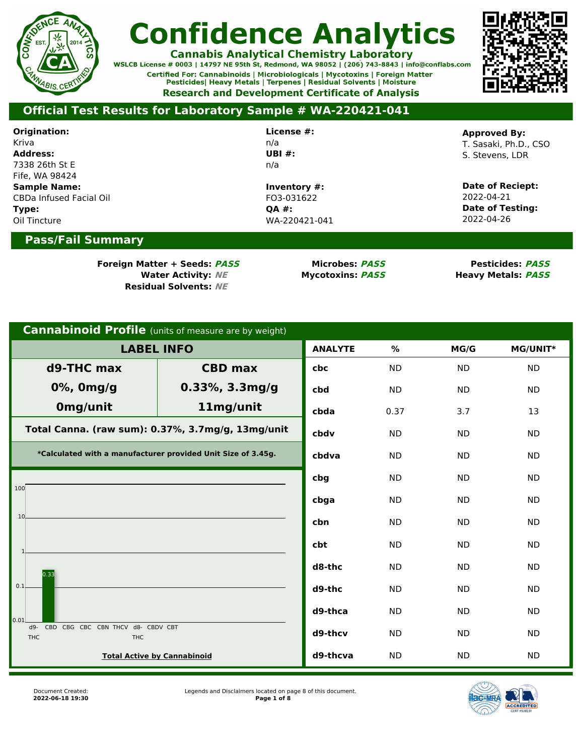

**Cannabis Analytical Chemistry Laboratory**<br>WSLCB License # 0003 | 14797 NE 95th St, Redmond, WA 98052 | (206) 743-8843 | info@conflabs.com Certified For: Cannabinoids | Microbiologicals | Mycotoxins | Foreign Matter Pesticides| Heavy Metals | Terpenes | Residual Solvents | Moisture **Research and Development Certificate of Analysis** 



### **Official Test Results for Laboratory Sample # WA-220421-041**

| Origination:                   | License #:    | <b>Approved By:</b>     |
|--------------------------------|---------------|-------------------------|
| Kriva                          | n/a           | T. Sasaki, Ph.D., CSO   |
| <b>Address:</b>                | UBI $#$ :     | S. Stevens. LDR         |
| 7338 26th St E                 | n/a           |                         |
| Fife, WA 98424                 |               |                         |
| <b>Sample Name:</b>            | Inventory #:  | Date of Reciept:        |
| <b>CBDa Infused Facial Oil</b> | FO3-031622    | 2022-04-21              |
| Type:                          | <b>OA #:</b>  | <b>Date of Testing:</b> |
| Oil Tincture                   | WA-220421-041 | 2022-04-26              |
| <b>Pass/Fail Summary</b>       |               |                         |
|                                |               |                         |

**Foreign Matter + Seeds: PASS Microbes: PASS Pesticides: PASS Residual Solvents: NE**

**Water Activity: NE Mycotoxins: PASS Heavy Metals: PASS**

| <b>Cannabinoid Profile</b> (units of measure are by weight)                      |                                                   |                |           |           |           |  |
|----------------------------------------------------------------------------------|---------------------------------------------------|----------------|-----------|-----------|-----------|--|
| <b>LABEL INFO</b>                                                                |                                                   | <b>ANALYTE</b> | %         | MG/G      | MG/UNIT*  |  |
| d9-THC max                                                                       | <b>CBD max</b>                                    | cbc            | <b>ND</b> | <b>ND</b> | <b>ND</b> |  |
| 0%, 0mg/g                                                                        | 0.33%, 3.3mg/g                                    | cbd            | <b>ND</b> | <b>ND</b> | <b>ND</b> |  |
| Omg/unit                                                                         | 11mg/unit                                         | cbda           | 0.37      | 3.7       | 13        |  |
|                                                                                  | Total Canna. (raw sum): 0.37%, 3.7mg/g, 13mg/unit | cbdv           | <b>ND</b> | <b>ND</b> | <b>ND</b> |  |
| *Calculated with a manufacturer provided Unit Size of 3.45g.                     | cbdva                                             | <b>ND</b>      | <b>ND</b> | <b>ND</b> |           |  |
| 100                                                                              |                                                   | cbg            | <b>ND</b> | <b>ND</b> | <b>ND</b> |  |
|                                                                                  |                                                   | cbga           | <b>ND</b> | <b>ND</b> | <b>ND</b> |  |
| 10                                                                               |                                                   | cbn            | <b>ND</b> | <b>ND</b> | <b>ND</b> |  |
|                                                                                  |                                                   | cbt            | <b>ND</b> | <b>ND</b> | <b>ND</b> |  |
| 0.33                                                                             |                                                   | d8-thc         | <b>ND</b> | <b>ND</b> | <b>ND</b> |  |
| 0.1                                                                              |                                                   | d9-thc         | <b>ND</b> | <b>ND</b> | <b>ND</b> |  |
| 0.01                                                                             |                                                   | d9-thca        | <b>ND</b> | <b>ND</b> | <b>ND</b> |  |
| $d9-$<br><b>CBD</b><br>CBG CBC CBN THCV d8- CBDV CBT<br><b>THC</b><br><b>THC</b> |                                                   | d9-thcv        | <b>ND</b> | <b>ND</b> | <b>ND</b> |  |
| <b>Total Active by Cannabinoid</b>                                               |                                                   | d9-thcva       | <b>ND</b> | <b>ND</b> | <b>ND</b> |  |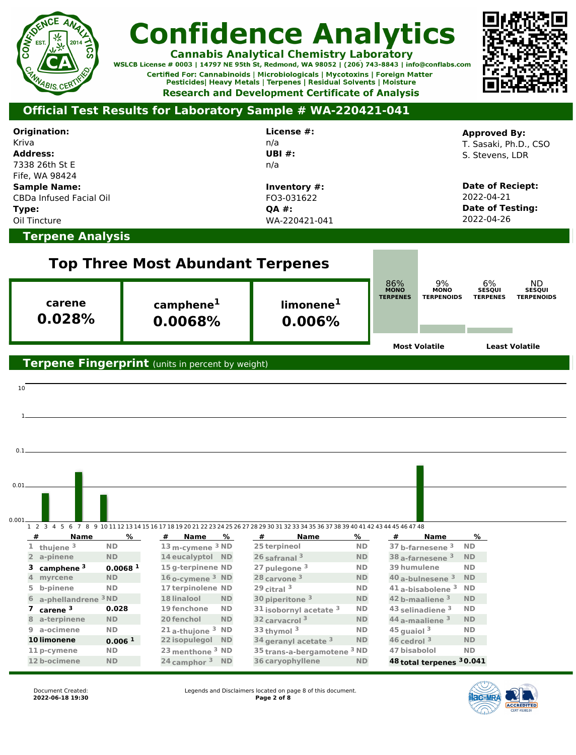

**Cannabis Analytical Chemistry Laboratory**<br>WSLCB License # 0003 | 14797 NE 95th St, Redmond, WA 98052 | (206) 743-8843 | info@conflabs.com Certified For: Cannabinoids | Microbiologicals | Mycotoxins | Foreign Matter Pesticides| Heavy Metals | Terpenes | Residual Solvents | Moisture **Research and Development Certificate of Analysis** 



| Origination:<br>Kriva<br><b>Address:</b><br>7338 26th St E                                |                                                                                                                                        | License #:<br>n/a<br><b>UBI#:</b><br>n/a             |                                                    |                                                | <b>Approved By:</b><br>T. Sasaki, Ph.D., CSO<br>S. Stevens. LDR                    |
|-------------------------------------------------------------------------------------------|----------------------------------------------------------------------------------------------------------------------------------------|------------------------------------------------------|----------------------------------------------------|------------------------------------------------|------------------------------------------------------------------------------------|
| Fife, WA 98424<br><b>Sample Name:</b><br>CBDa Infused Facial Oil<br>Type:<br>Oil Tincture |                                                                                                                                        | Inventory #:<br>FO3-031622<br>QA #:<br>WA-220421-041 |                                                    |                                                | <b>Date of Reciept:</b><br>2022-04-21<br><b>Date of Testing:</b><br>2022-04-26     |
| <b>Terpene Analysis</b>                                                                   |                                                                                                                                        |                                                      |                                                    |                                                |                                                                                    |
|                                                                                           | <b>Top Three Most Abundant Terpenes</b>                                                                                                |                                                      |                                                    |                                                |                                                                                    |
| carene                                                                                    | camphene <sup>1</sup>                                                                                                                  | limonene <sup>1</sup>                                | 86%<br><b>MONO</b><br><b>TERPENES</b>              | $\frac{9\%}{\text{mono}}$<br><b>TERPENOIDS</b> | ND<br>6%<br><b>SESQUI</b><br><b>SESQUI</b><br><b>TERPENES</b><br><b>TERPENOIDS</b> |
| 0.028%                                                                                    | 0.0068%                                                                                                                                | 0.006%                                               |                                                    |                                                |                                                                                    |
|                                                                                           |                                                                                                                                        |                                                      |                                                    | <b>Most Volatile</b>                           | <b>Least Volatile</b>                                                              |
|                                                                                           | Terpene Fingerprint (units in percent by weight)                                                                                       |                                                      |                                                    |                                                |                                                                                    |
|                                                                                           |                                                                                                                                        |                                                      |                                                    |                                                |                                                                                    |
| 10                                                                                        |                                                                                                                                        |                                                      |                                                    |                                                |                                                                                    |
|                                                                                           |                                                                                                                                        |                                                      |                                                    |                                                |                                                                                    |
|                                                                                           |                                                                                                                                        |                                                      |                                                    |                                                |                                                                                    |
|                                                                                           |                                                                                                                                        |                                                      |                                                    |                                                |                                                                                    |
|                                                                                           |                                                                                                                                        |                                                      |                                                    |                                                |                                                                                    |
|                                                                                           |                                                                                                                                        |                                                      |                                                    |                                                |                                                                                    |
| 0.01                                                                                      |                                                                                                                                        |                                                      |                                                    |                                                |                                                                                    |
| 0.001                                                                                     |                                                                                                                                        |                                                      |                                                    |                                                |                                                                                    |
|                                                                                           | 1 2 3 4 5 6 7 8 9 10 11 12 13 14 15 16 17 18 19 20 21 22 23 24 25 26 27 28 29 30 31 32 33 34 35 36 37 38 39 40 41 42 43 44 45 46 47 48 |                                                      |                                                    |                                                |                                                                                    |
| #<br>Name<br><b>ND</b><br>$1$ thujene $3$                                                 | %<br>Name<br>%<br>#<br>13 m-cymene <sup>3</sup> ND                                                                                     | #<br>Name<br>25 terpineol                            | %<br>#<br><b>ND</b>                                | Name<br>37 b-farnesene <sup>3</sup>            | %<br><b>ND</b>                                                                     |
| a-pinene<br><b>ND</b><br>$2^{\circ}$                                                      | 14 eucalyptol ND                                                                                                                       | 26 safranal <sup>3</sup>                             | ND                                                 | 38 a-farnesene <sup>3</sup>                    | ND                                                                                 |
| 3 camphene <sup>3</sup>                                                                   | 15 g-terpinene ND<br>0.0068 <sup>1</sup>                                                                                               | 27 pulegone <sup>3</sup>                             | 39 humulene<br>ND                                  |                                                | <b>ND</b>                                                                          |
| myrcene<br><b>ND</b><br>$\overline{4}$                                                    | $16$ o-cymene $3$ ND                                                                                                                   | 28 carvone <sup>3</sup>                              | <b>ND</b>                                          | 40 a-bulnesene 3<br><b>ND</b>                  |                                                                                    |
| b-pinene<br><b>ND</b><br>5                                                                | 17 terpinolene ND                                                                                                                      | $29$ citral $3$                                      | <b>ND</b>                                          | $41$ a-bisabolene $^3$<br><b>ND</b>            |                                                                                    |
| a-phellandrene <sup>3</sup> ND<br>6                                                       | 18 linalool<br><b>ND</b>                                                                                                               | 30 piperitone 3                                      | <b>ND</b>                                          | 42 b-maaliene 3                                | <b>ND</b>                                                                          |
| 0.028<br>$\overline{ }$<br>carene <sup>3</sup>                                            | 19 fenchone<br><b>ND</b>                                                                                                               | 31 isobornyl acetate <sup>3</sup>                    | <b>ND</b>                                          | 43 selinadiene <sup>3</sup><br><b>ND</b>       |                                                                                    |
| 8 a-terpinene<br><b>ND</b>                                                                | 20 fenchol<br><b>ND</b>                                                                                                                | 32 carvacrol 3                                       | <b>ND</b>                                          | 44 a-maaliene 3                                | <b>ND</b>                                                                          |
| <b>ND</b><br>9 a-ocimene                                                                  | 21 <sub>a</sub> -thujone <sup>3</sup> ND                                                                                               | 33 thymol <sup>3</sup>                               | <b>ND</b><br>$45$ quaiol $3$<br><b>ND</b>          | <b>ND</b>                                      |                                                                                    |
| 10 limonene<br><b>ND</b>                                                                  | 22 isopulegol ND<br>0.006 <sup>1</sup>                                                                                                 | 34 geranyl acetate 3                                 | $46$ cedrol $3$<br>47 bisabolol<br><sup>3</sup> ND | <b>ND</b>                                      | ND                                                                                 |
| 11 p-cymene<br>12 b-ocimene<br><b>ND</b>                                                  | 23 menthone <sup>3</sup> ND<br>$24$ camphor $3$ ND                                                                                     | 35 trans-a-bergamotene<br>36 caryophyllene           | <b>ND</b>                                          | 48 total terpenes 30.041                       |                                                                                    |
|                                                                                           |                                                                                                                                        |                                                      |                                                    |                                                |                                                                                    |

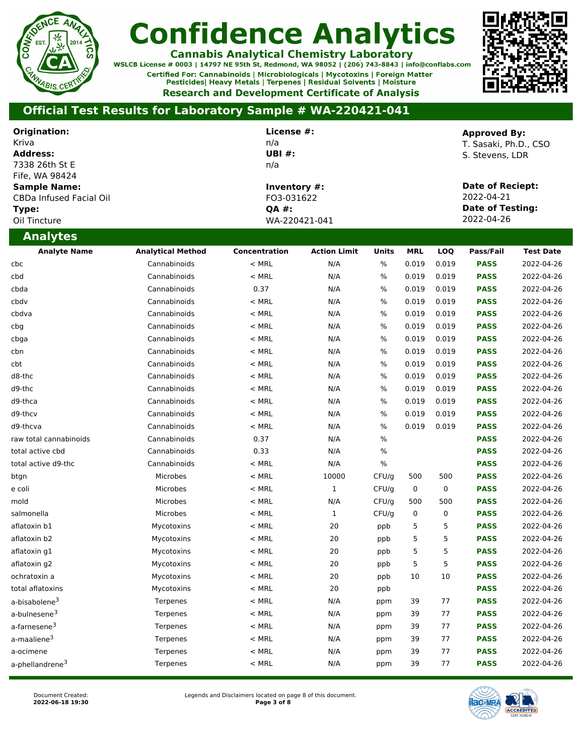

**Cannabis Analytical Chemistry Laboratory**<br>WSLCB License # 0003 | 14797 NE 95th St, Redmond, WA 98052 | (206) 743-8843 | info@conflabs.com Certified For: Cannabinoids | Microbiologicals | Mycotoxins | Foreign Matter Pesticides| Heavy Metals | Terpenes | Residual Solvents | Moisture **Research and Development Certificate of Analysis** 



| Origination:<br>Kriva<br><b>Address:</b><br>7338 26th St E<br>Fife, WA 98424<br><b>Sample Name:</b><br>CBDa Infused Facial Oil<br>Type:<br>Oil Tincture | License #:<br>n/a<br><b>UBI#:</b><br>n/a<br>Inventory #:<br>FO3-031622<br>QA #:<br>WA-220421-041 |               |                     |              |            |           |             |                  | <b>Approved By:</b><br>T. Sasaki, Ph.D., CSO<br>S. Stevens, LDR<br><b>Date of Reciept:</b><br>2022-04-21<br><b>Date of Testing:</b><br>2022-04-26 |  |
|---------------------------------------------------------------------------------------------------------------------------------------------------------|--------------------------------------------------------------------------------------------------|---------------|---------------------|--------------|------------|-----------|-------------|------------------|---------------------------------------------------------------------------------------------------------------------------------------------------|--|
| <b>Analytes</b>                                                                                                                                         |                                                                                                  |               |                     |              |            |           |             |                  |                                                                                                                                                   |  |
| <b>Analyte Name</b>                                                                                                                                     | <b>Analytical Method</b>                                                                         | Concentration | <b>Action Limit</b> | <b>Units</b> | <b>MRL</b> | LOQ       | Pass/Fail   | <b>Test Date</b> |                                                                                                                                                   |  |
| cbc                                                                                                                                                     | Cannabinoids                                                                                     | $<$ MRL       | N/A                 | $\%$         | 0.019      | 0.019     | <b>PASS</b> | 2022-04-26       |                                                                                                                                                   |  |
| cbd                                                                                                                                                     | Cannabinoids                                                                                     | $<$ MRL       | N/A                 | %            | 0.019      | 0.019     | <b>PASS</b> | 2022-04-26       |                                                                                                                                                   |  |
| cbda                                                                                                                                                    | Cannabinoids                                                                                     | 0.37          | N/A                 | %            | 0.019      | 0.019     | <b>PASS</b> | 2022-04-26       |                                                                                                                                                   |  |
| cbdv                                                                                                                                                    | Cannabinoids                                                                                     | $<$ MRL       | N/A                 | $\%$         | 0.019      | 0.019     | <b>PASS</b> | 2022-04-26       |                                                                                                                                                   |  |
| cbdva                                                                                                                                                   | Cannabinoids                                                                                     | $<$ MRL       | N/A                 | %            | 0.019      | 0.019     | <b>PASS</b> | 2022-04-26       |                                                                                                                                                   |  |
| cbg                                                                                                                                                     | Cannabinoids                                                                                     | $<$ MRL       | N/A                 | %            | 0.019      | 0.019     | <b>PASS</b> | 2022-04-26       |                                                                                                                                                   |  |
| cbga                                                                                                                                                    | Cannabinoids                                                                                     | $<$ MRL       | N/A                 | %            | 0.019      | 0.019     | <b>PASS</b> | 2022-04-26       |                                                                                                                                                   |  |
| cbn                                                                                                                                                     | Cannabinoids                                                                                     | $<$ MRL       | N/A                 | $\%$         | 0.019      | 0.019     | <b>PASS</b> | 2022-04-26       |                                                                                                                                                   |  |
| cbt                                                                                                                                                     | Cannabinoids                                                                                     | $<$ MRL       | N/A                 | $\%$         | 0.019      | 0.019     | <b>PASS</b> | 2022-04-26       |                                                                                                                                                   |  |
| d8-thc                                                                                                                                                  | Cannabinoids                                                                                     | $<$ MRL       | N/A                 | %            | 0.019      | 0.019     | <b>PASS</b> | 2022-04-26       |                                                                                                                                                   |  |
| d9-thc                                                                                                                                                  | Cannabinoids                                                                                     | $<$ MRL       | N/A                 | %            | 0.019      | 0.019     | <b>PASS</b> | 2022-04-26       |                                                                                                                                                   |  |
| d9-thca                                                                                                                                                 | Cannabinoids                                                                                     | $<$ MRL       | N/A                 | $\%$         | 0.019      | 0.019     | <b>PASS</b> | 2022-04-26       |                                                                                                                                                   |  |
| d9-thcv                                                                                                                                                 | Cannabinoids                                                                                     | $<$ MRL       | N/A                 | %            | 0.019      | 0.019     | <b>PASS</b> | 2022-04-26       |                                                                                                                                                   |  |
| d9-thcva                                                                                                                                                | Cannabinoids                                                                                     | $<$ MRL       | N/A                 | $\%$         | 0.019      | 0.019     | <b>PASS</b> | 2022-04-26       |                                                                                                                                                   |  |
| raw total cannabinoids                                                                                                                                  | Cannabinoids                                                                                     | 0.37          | N/A                 | $\%$         |            |           | <b>PASS</b> | 2022-04-26       |                                                                                                                                                   |  |
| total active cbd                                                                                                                                        | Cannabinoids                                                                                     | 0.33          | N/A                 | %            |            |           | <b>PASS</b> | 2022-04-26       |                                                                                                                                                   |  |
| total active d9-thc                                                                                                                                     | Cannabinoids                                                                                     | $<$ MRL       | N/A                 | %            |            |           | <b>PASS</b> | 2022-04-26       |                                                                                                                                                   |  |
| btgn                                                                                                                                                    | Microbes                                                                                         | $<$ MRL       | 10000               | CFU/g        | 500        | 500       | <b>PASS</b> | 2022-04-26       |                                                                                                                                                   |  |
| e coli                                                                                                                                                  | Microbes                                                                                         | $<$ MRL       | $\mathbf{1}$        | CFU/g        | $\pmb{0}$  | $\pmb{0}$ | <b>PASS</b> | 2022-04-26       |                                                                                                                                                   |  |
| mold                                                                                                                                                    | Microbes                                                                                         | $<$ MRL       | N/A                 | CFU/g        | 500        | 500       | <b>PASS</b> | 2022-04-26       |                                                                                                                                                   |  |
| salmonella                                                                                                                                              | Microbes                                                                                         | $<$ MRL       | $\mathbf{1}$        | CFU/g        | 0          | 0         | <b>PASS</b> | 2022-04-26       |                                                                                                                                                   |  |
| aflatoxin b1                                                                                                                                            | Mycotoxins                                                                                       | $<$ MRL       | 20                  | ppb          | 5          | 5         | <b>PASS</b> | 2022-04-26       |                                                                                                                                                   |  |
| aflatoxin b2                                                                                                                                            | Mycotoxins                                                                                       | $<$ MRL       | 20                  | ppb          | 5          | 5         | <b>PASS</b> | 2022-04-26       |                                                                                                                                                   |  |
| aflatoxin g1                                                                                                                                            | Mycotoxins                                                                                       | $<$ MRL       | 20                  | ppb          | 5          | 5         | <b>PASS</b> | 2022-04-26       |                                                                                                                                                   |  |
| aflatoxin q2                                                                                                                                            | Mycotoxins                                                                                       | $<$ MRL       | 20                  | ppb          | 5          | 5         | <b>PASS</b> | 2022-04-26       |                                                                                                                                                   |  |
| ochratoxin a                                                                                                                                            | Mycotoxins                                                                                       | $<$ MRL       | 20                  | ppb          | 10         | 10        | <b>PASS</b> | 2022-04-26       |                                                                                                                                                   |  |
| total aflatoxins                                                                                                                                        | Mycotoxins                                                                                       | $<$ MRL       | 20                  | ppb          |            |           | <b>PASS</b> | 2022-04-26       |                                                                                                                                                   |  |
| a-bisabolene <sup>3</sup>                                                                                                                               | Terpenes                                                                                         | $<$ MRL       | N/A                 | ppm          | 39         | 77        | <b>PASS</b> | 2022-04-26       |                                                                                                                                                   |  |
| a-bulnesene <sup>3</sup>                                                                                                                                | Terpenes                                                                                         | $<$ MRL       | N/A                 | ppm          | 39         | 77        | <b>PASS</b> | 2022-04-26       |                                                                                                                                                   |  |
| a-farnesene <sup>3</sup>                                                                                                                                | Terpenes                                                                                         | $<$ MRL       | N/A                 | ppm          | 39         | 77        | <b>PASS</b> | 2022-04-26       |                                                                                                                                                   |  |
| a-maaliene <sup>3</sup>                                                                                                                                 | Terpenes                                                                                         | $<$ MRL       | N/A                 | ppm          | 39         | 77        | <b>PASS</b> | 2022-04-26       |                                                                                                                                                   |  |
| a-ocimene                                                                                                                                               | Terpenes                                                                                         | $<$ MRL       | N/A                 | ppm          | 39         | 77        | <b>PASS</b> | 2022-04-26       |                                                                                                                                                   |  |
| a-phellandrene <sup>3</sup>                                                                                                                             | Terpenes                                                                                         | $<$ MRL       | N/A                 | ppm          | 39         | 77        | <b>PASS</b> | 2022-04-26       |                                                                                                                                                   |  |

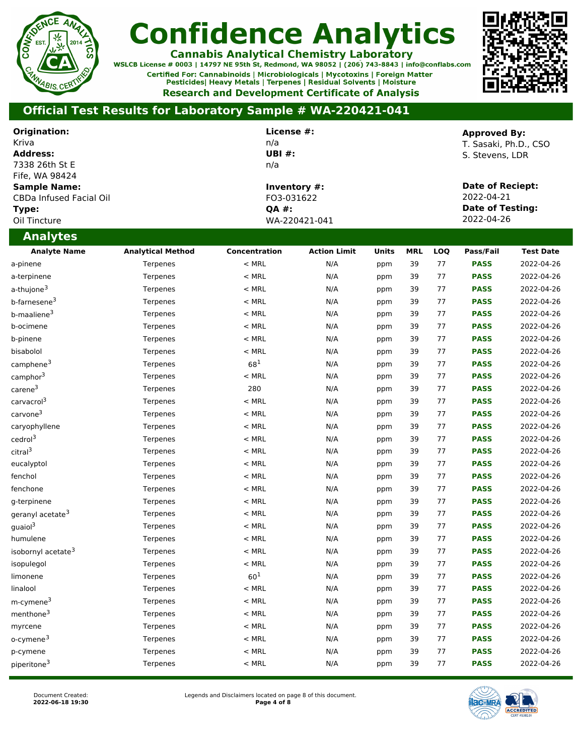

**Cannabis Analytical Chemistry Laboratory**<br>WSLCB License # 0003 | 14797 NE 95th St, Redmond, WA 98052 | (206) 743-8843 | info@conflabs.com Certified For: Cannabinoids | Microbiologicals | Mycotoxins | Foreign Matter Pesticides| Heavy Metals | Terpenes | Residual Solvents | Moisture **Research and Development Certificate of Analysis** 



| Origination:<br>Kriva<br><b>Address:</b><br>7338 26th St E                                |                          | License #:<br>n/a<br><b>UBI#:</b><br>n/a |                               |              |            |     | <b>Approved By:</b><br>T. Sasaki, Ph.D., CSO<br>S. Stevens, LDR         |                  |
|-------------------------------------------------------------------------------------------|--------------------------|------------------------------------------|-------------------------------|--------------|------------|-----|-------------------------------------------------------------------------|------------------|
| Fife, WA 98424<br><b>Sample Name:</b><br>CBDa Infused Facial Oil<br>Type:<br>Oil Tincture |                          | FO3-031622<br>QA #:                      | Inventory #:<br>WA-220421-041 |              |            |     | Date of Reciept:<br>2022-04-21<br><b>Date of Testing:</b><br>2022-04-26 |                  |
| <b>Analytes</b>                                                                           |                          |                                          |                               |              |            |     |                                                                         |                  |
| <b>Analyte Name</b>                                                                       | <b>Analytical Method</b> | Concentration                            | <b>Action Limit</b>           | <b>Units</b> | <b>MRL</b> | LOQ | Pass/Fail                                                               | <b>Test Date</b> |
| a-pinene                                                                                  | Terpenes                 | $<$ MRL                                  | N/A                           | ppm          | 39         | 77  | <b>PASS</b>                                                             | 2022-04-26       |
| a-terpinene                                                                               | Terpenes                 | $<$ MRL                                  | N/A                           | ppm          | 39         | 77  | <b>PASS</b>                                                             | 2022-04-26       |
| a-thujone <sup>3</sup>                                                                    | Terpenes                 | $<$ MRL                                  | N/A                           | ppm          | 39         | 77  | <b>PASS</b>                                                             | 2022-04-26       |
| b-farnesene <sup>3</sup>                                                                  | Terpenes                 | $<$ MRL                                  | N/A                           | ppm          | 39         | 77  | <b>PASS</b>                                                             | 2022-04-26       |
| b-maaliene <sup>3</sup>                                                                   | Terpenes                 | $<$ MRL                                  | N/A                           | ppm          | 39         | 77  | <b>PASS</b>                                                             | 2022-04-26       |
| b-ocimene                                                                                 | Terpenes                 | $<$ MRL                                  | N/A                           | ppm          | 39         | 77  | <b>PASS</b>                                                             | 2022-04-26       |
| b-pinene                                                                                  | Terpenes                 | $<$ MRL                                  | N/A                           | ppm          | 39         | 77  | <b>PASS</b>                                                             | 2022-04-26       |
| bisabolol                                                                                 | Terpenes                 | $<$ MRL                                  | N/A                           | ppm          | 39         | 77  | <b>PASS</b>                                                             | 2022-04-26       |
| camphene <sup>3</sup>                                                                     | Terpenes                 | $68^{1}$                                 | N/A                           | ppm          | 39         | 77  | <b>PASS</b>                                                             | 2022-04-26       |
| camphor <sup>3</sup>                                                                      | Terpenes                 | $<$ MRL                                  | N/A                           | ppm          | 39         | 77  | <b>PASS</b>                                                             | 2022-04-26       |
| carene <sup>3</sup>                                                                       | Terpenes                 | 280                                      | N/A                           | ppm          | 39         | 77  | <b>PASS</b>                                                             | 2022-04-26       |
| carvacrol <sup>3</sup>                                                                    | Terpenes                 | $<$ MRL                                  | N/A                           | ppm          | 39         | 77  | <b>PASS</b>                                                             | 2022-04-26       |
| carvone <sup>3</sup>                                                                      | Terpenes                 | $<$ MRL                                  | N/A                           | ppm          | 39         | 77  | <b>PASS</b>                                                             | 2022-04-26       |
| caryophyllene                                                                             | Terpenes                 | $<$ MRL                                  | N/A                           | ppm          | 39         | 77  | <b>PASS</b>                                                             | 2022-04-26       |
| cedrol <sup>3</sup>                                                                       | Terpenes                 | $<$ MRL                                  | N/A                           | ppm          | 39         | 77  | <b>PASS</b>                                                             | 2022-04-26       |
| citral <sup>3</sup>                                                                       | Terpenes                 | $<$ MRL                                  | N/A                           | ppm          | 39         | 77  | <b>PASS</b>                                                             | 2022-04-26       |
| eucalyptol                                                                                | Terpenes                 | $<$ MRL                                  | N/A                           | ppm          | 39         | 77  | <b>PASS</b>                                                             | 2022-04-26       |
| fenchol                                                                                   | Terpenes                 | $<$ MRL                                  | N/A                           | ppm          | 39         | 77  | <b>PASS</b>                                                             | 2022-04-26       |
| fenchone                                                                                  | Terpenes                 | $<$ MRL                                  | N/A                           | ppm          | 39         | 77  | <b>PASS</b>                                                             | 2022-04-26       |
| g-terpinene                                                                               | Terpenes                 | $<$ MRL                                  | N/A                           | ppm          | 39         | 77  | <b>PASS</b>                                                             | 2022-04-26       |
| geranyl acetate <sup>3</sup>                                                              | Terpenes                 | $<$ MRL                                  | N/A                           | ppm          | 39         | 77  | <b>PASS</b>                                                             | 2022-04-26       |
| $g$ uaiol $^3$                                                                            | Terpenes                 | $<$ MRL                                  | N/A                           | ppm          | 39         | 77  | <b>PASS</b>                                                             | 2022-04-26       |
| humulene                                                                                  | Terpenes                 | $<$ MRL                                  | N/A                           | ppm          | 39         | 77  | <b>PASS</b>                                                             | 2022-04-26       |
| isobornyl acetate <sup>3</sup>                                                            | Terpenes                 | $<$ MRL                                  | N/A                           | ppm          | 39         | 77  | <b>PASS</b>                                                             | 2022-04-26       |
| isopulegol                                                                                | Terpenes                 | $<$ MRL                                  | N/A                           | ppm          | 39         | 77  | <b>PASS</b>                                                             | 2022-04-26       |
| limonene                                                                                  | Terpenes                 | $60^{1}$                                 | N/A                           | ppm          | 39         | 77  | <b>PASS</b>                                                             | 2022-04-26       |
| linalool                                                                                  | Terpenes                 | $<$ MRL                                  | N/A                           | ppm          | 39         | 77  | <b>PASS</b>                                                             | 2022-04-26       |
| m-cymene <sup>3</sup>                                                                     | Terpenes                 | $<$ MRL                                  | N/A                           | ppm          | 39         | 77  | <b>PASS</b>                                                             | 2022-04-26       |
| menthone <sup>3</sup>                                                                     | Terpenes                 | $<$ MRL                                  | N/A                           | ppm          | 39         | 77  | <b>PASS</b>                                                             | 2022-04-26       |
| myrcene                                                                                   | Terpenes                 | $<$ MRL                                  | N/A                           | ppm          | 39         | 77  | <b>PASS</b>                                                             | 2022-04-26       |
| o-cymene <sup>3</sup>                                                                     | Terpenes                 | $<$ MRL                                  | N/A                           | ppm          | 39         | 77  | <b>PASS</b>                                                             | 2022-04-26       |
| p-cymene                                                                                  | Terpenes                 | $<$ MRL                                  | N/A                           | ppm          | 39         | 77  | <b>PASS</b>                                                             | 2022-04-26       |
| piperitone <sup>3</sup>                                                                   | Terpenes                 | $<$ MRL                                  | N/A                           | ppm          | 39         | 77  | <b>PASS</b>                                                             | 2022-04-26       |

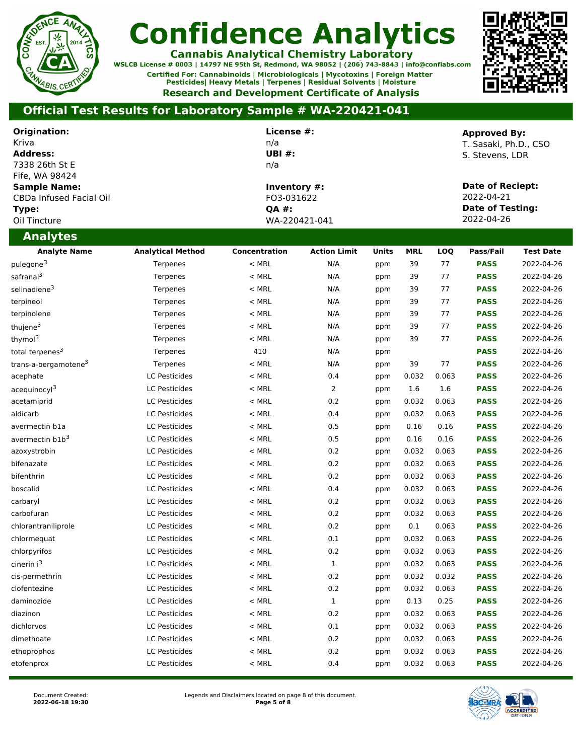

**Cannabis Analytical Chemistry Laboratory**<br>WSLCB License # 0003 | 14797 NE 95th St, Redmond, WA 98052 | (206) 743-8843 | info@conflabs.com Certified For: Cannabinoids | Microbiologicals | Mycotoxins | Foreign Matter Pesticides| Heavy Metals | Terpenes | Residual Solvents | Moisture **Research and Development Certificate of Analysis** 



| Origination:<br>Kriva<br><b>Address:</b><br>7338 26th St E<br>Fife, WA 98424<br><b>Sample Name:</b><br>CBDa Infused Facial Oil<br>Type:<br>Oil Tincture | License #:<br>n/a<br>UBI $#$ :<br>n/a<br>Inventory #:<br>FO3-031622<br><b>QA #:</b><br>WA-220421-041 |               |                     |       |            | <b>Approved By:</b><br>T. Sasaki, Ph.D., CSO<br>S. Stevens, LDR<br>Date of Reciept:<br>2022-04-21<br><b>Date of Testing:</b><br>2022-04-26 |             |                  |
|---------------------------------------------------------------------------------------------------------------------------------------------------------|------------------------------------------------------------------------------------------------------|---------------|---------------------|-------|------------|--------------------------------------------------------------------------------------------------------------------------------------------|-------------|------------------|
| <b>Analytes</b>                                                                                                                                         |                                                                                                      |               |                     |       |            |                                                                                                                                            |             |                  |
| <b>Analyte Name</b>                                                                                                                                     | <b>Analytical Method</b>                                                                             | Concentration | <b>Action Limit</b> | Units | <b>MRL</b> | LOQ                                                                                                                                        | Pass/Fail   | <b>Test Date</b> |
| pulegone <sup>3</sup>                                                                                                                                   | Terpenes                                                                                             | $<$ MRL       | N/A                 | ppm   | 39         | 77                                                                                                                                         | <b>PASS</b> | 2022-04-26       |
| safranal <sup>3</sup>                                                                                                                                   | Terpenes                                                                                             | $<$ MRL       | N/A                 | ppm   | 39         | 77                                                                                                                                         | <b>PASS</b> | 2022-04-26       |
| selinadiene <sup>3</sup>                                                                                                                                | Terpenes                                                                                             | $<$ MRL       | N/A                 | ppm   | 39         | 77                                                                                                                                         | <b>PASS</b> | 2022-04-26       |
| terpineol                                                                                                                                               | Terpenes                                                                                             | $<$ MRL       | N/A                 | ppm   | 39         | 77                                                                                                                                         | <b>PASS</b> | 2022-04-26       |
| terpinolene                                                                                                                                             | Terpenes                                                                                             | $<$ MRL       | N/A                 | ppm   | 39         | 77                                                                                                                                         | <b>PASS</b> | 2022-04-26       |
| thujene <sup>3</sup>                                                                                                                                    | Terpenes                                                                                             | $<$ MRL       | N/A                 | ppm   | 39         | 77                                                                                                                                         | <b>PASS</b> | 2022-04-26       |
| thymol <sup>3</sup>                                                                                                                                     | Terpenes                                                                                             | $<$ MRL       | N/A                 | ppm   | 39         | 77                                                                                                                                         | <b>PASS</b> | 2022-04-26       |
| total terpenes <sup>3</sup>                                                                                                                             | Terpenes                                                                                             | 410           | N/A                 | ppm   |            |                                                                                                                                            | <b>PASS</b> | 2022-04-26       |
| trans-a-bergamotene <sup>3</sup>                                                                                                                        | Terpenes                                                                                             | $<$ MRL       | N/A                 | ppm   | 39         | 77                                                                                                                                         | <b>PASS</b> | 2022-04-26       |
| acephate                                                                                                                                                | LC Pesticides                                                                                        | $<$ MRL       | 0.4                 | ppm   | 0.032      | 0.063                                                                                                                                      | <b>PASS</b> | 2022-04-26       |
| acequinocyl <sup>3</sup>                                                                                                                                | LC Pesticides                                                                                        | $<$ MRL       | $\overline{2}$      | ppm   | 1.6        | 1.6                                                                                                                                        | <b>PASS</b> | 2022-04-26       |
| acetamiprid                                                                                                                                             | LC Pesticides                                                                                        | $<$ MRL       | 0.2                 | ppm   | 0.032      | 0.063                                                                                                                                      | <b>PASS</b> | 2022-04-26       |
| aldicarb                                                                                                                                                | <b>LC Pesticides</b>                                                                                 | $<$ MRL       | 0.4                 | ppm   | 0.032      | 0.063                                                                                                                                      | <b>PASS</b> | 2022-04-26       |
| avermectin b1a                                                                                                                                          | <b>LC Pesticides</b>                                                                                 | $<$ MRL       | 0.5                 | ppm   | 0.16       | 0.16                                                                                                                                       | <b>PASS</b> | 2022-04-26       |
| avermectin b1b <sup>3</sup>                                                                                                                             | LC Pesticides                                                                                        | $<$ MRL       | 0.5                 | ppm   | 0.16       | 0.16                                                                                                                                       | <b>PASS</b> | 2022-04-26       |
| azoxystrobin                                                                                                                                            | LC Pesticides                                                                                        | $<$ MRL       | 0.2                 | ppm   | 0.032      | 0.063                                                                                                                                      | <b>PASS</b> | 2022-04-26       |
| bifenazate                                                                                                                                              | <b>LC Pesticides</b>                                                                                 | $<$ MRL       | 0.2                 | ppm   | 0.032      | 0.063                                                                                                                                      | <b>PASS</b> | 2022-04-26       |
| bifenthrin                                                                                                                                              | <b>LC Pesticides</b>                                                                                 | $<$ MRL       | 0.2                 | ppm   | 0.032      | 0.063                                                                                                                                      | <b>PASS</b> | 2022-04-26       |
| boscalid                                                                                                                                                | <b>LC Pesticides</b>                                                                                 | $<$ MRL       | 0.4                 | ppm   | 0.032      | 0.063                                                                                                                                      | <b>PASS</b> | 2022-04-26       |
| carbaryl                                                                                                                                                | <b>LC Pesticides</b>                                                                                 | $<$ MRL       | 0.2                 | ppm   | 0.032      | 0.063                                                                                                                                      | <b>PASS</b> | 2022-04-26       |
| carbofuran                                                                                                                                              | <b>LC Pesticides</b>                                                                                 | $<$ MRL       | 0.2                 | ppm   | 0.032      | 0.063                                                                                                                                      | <b>PASS</b> | 2022-04-26       |
| chlorantraniliprole                                                                                                                                     | LC Pesticides                                                                                        | $<$ MRL       | 0.2                 | ppm   | 0.1        | 0.063                                                                                                                                      | <b>PASS</b> | 2022-04-26       |
| chlormequat                                                                                                                                             | LC Pesticides                                                                                        | $<$ MRL       | 0.1                 | ppm   | 0.032      | 0.063                                                                                                                                      | <b>PASS</b> | 2022-04-26       |
| chlorpyrifos                                                                                                                                            | LC Pesticides                                                                                        | $<$ MRL       | 0.2                 | ppm   | 0.032      | 0.063                                                                                                                                      | <b>PASS</b> | 2022-04-26       |
| cinerin i <sup>3</sup>                                                                                                                                  | <b>LC Pesticides</b>                                                                                 | $<$ MRL       | $1\,$               | ppm   | 0.032      | 0.063                                                                                                                                      | <b>PASS</b> | 2022-04-26       |
| cis-permethrin                                                                                                                                          | <b>LC Pesticides</b>                                                                                 | $<$ MRL       | 0.2                 | ppm   | 0.032      | 0.032                                                                                                                                      | <b>PASS</b> | 2022-04-26       |
| clofentezine                                                                                                                                            | <b>LC Pesticides</b>                                                                                 | $<$ MRL       | 0.2                 | ppm   | 0.032      | 0.063                                                                                                                                      | <b>PASS</b> | 2022-04-26       |
| daminozide                                                                                                                                              | LC Pesticides                                                                                        | $<$ MRL       | $\mathbf{1}$        | ppm   | 0.13       | 0.25                                                                                                                                       | <b>PASS</b> | 2022-04-26       |
| diazinon                                                                                                                                                | LC Pesticides                                                                                        | $<$ MRL       | 0.2                 | ppm   | 0.032      | 0.063                                                                                                                                      | <b>PASS</b> | 2022-04-26       |
| dichlorvos                                                                                                                                              | <b>LC Pesticides</b>                                                                                 | $<$ MRL       | 0.1                 | ppm   | 0.032      | 0.063                                                                                                                                      | <b>PASS</b> | 2022-04-26       |
| dimethoate                                                                                                                                              | <b>LC Pesticides</b>                                                                                 | $<$ MRL       | 0.2                 | ppm   | 0.032      | 0.063                                                                                                                                      | <b>PASS</b> | 2022-04-26       |
| ethoprophos                                                                                                                                             | <b>LC Pesticides</b>                                                                                 | $<$ MRL       | 0.2                 | ppm   | 0.032      | 0.063                                                                                                                                      | <b>PASS</b> | 2022-04-26       |
| etofenprox                                                                                                                                              | <b>LC Pesticides</b>                                                                                 | $<$ MRL       | 0.4                 | ppm   | 0.032      | 0.063                                                                                                                                      | <b>PASS</b> | 2022-04-26       |

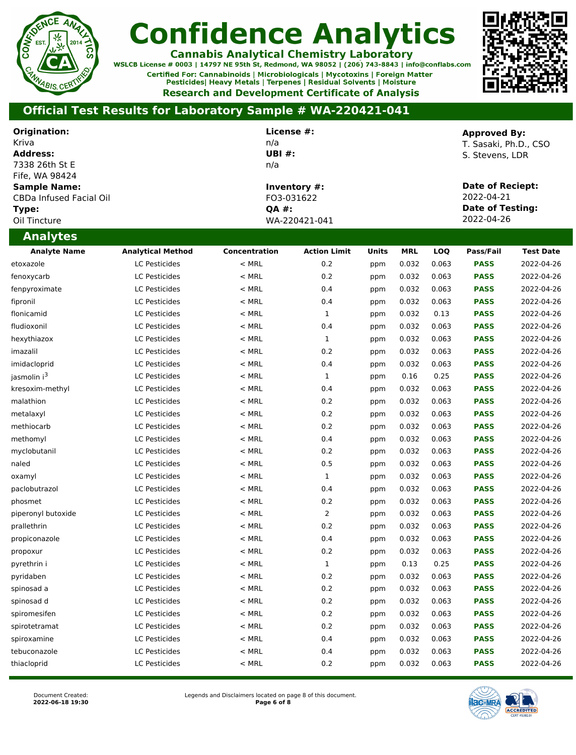

**Cannabis Analytical Chemistry Laboratory**<br>WSLCB License # 0003 | 14797 NE 95th St, Redmond, WA 98052 | (206) 743-8843 | info@conflabs.com Certified For: Cannabinoids | Microbiologicals | Mycotoxins | Foreign Matter Pesticides| Heavy Metals | Terpenes | Residual Solvents | Moisture **Research and Development Certificate of Analysis** 



| Origination:                          |                          | License #:    |                     |       |            |       | <b>Approved By:</b>     |                  |
|---------------------------------------|--------------------------|---------------|---------------------|-------|------------|-------|-------------------------|------------------|
| Kriva                                 |                          | n/a           |                     |       |            |       | T. Sasaki, Ph.D., CSO   |                  |
| <b>Address:</b>                       |                          | <b>UBI#:</b>  |                     |       |            |       | S. Stevens, LDR         |                  |
| 7338 26th St E                        |                          | n/a           |                     |       |            |       |                         |                  |
| Fife, WA 98424<br><b>Sample Name:</b> |                          |               | Inventory #:        |       |            |       | <b>Date of Reciept:</b> |                  |
| CBDa Infused Facial Oil               |                          | FO3-031622    |                     |       |            |       | 2022-04-21              |                  |
| Type:                                 |                          | <b>QA #:</b>  |                     |       |            |       | <b>Date of Testing:</b> |                  |
| Oil Tincture                          |                          |               | WA-220421-041       |       |            |       | 2022-04-26              |                  |
| <b>Analytes</b>                       |                          |               |                     |       |            |       |                         |                  |
| <b>Analyte Name</b>                   | <b>Analytical Method</b> | Concentration | <b>Action Limit</b> | Units | <b>MRL</b> | LOQ   | Pass/Fail               | <b>Test Date</b> |
| etoxazole                             | <b>LC Pesticides</b>     | $<$ MRL       | 0.2                 | ppm   | 0.032      | 0.063 | <b>PASS</b>             | 2022-04-26       |
| fenoxycarb                            | <b>LC Pesticides</b>     | $<$ MRL       | 0.2                 | ppm   | 0.032      | 0.063 | <b>PASS</b>             | 2022-04-26       |
| fenpyroximate                         | LC Pesticides            | $<$ MRL       | 0.4                 | ppm   | 0.032      | 0.063 | <b>PASS</b>             | 2022-04-26       |
| fipronil                              | <b>LC Pesticides</b>     | $<$ MRL       | 0.4                 | ppm   | 0.032      | 0.063 | <b>PASS</b>             | 2022-04-26       |
| flonicamid                            | <b>LC Pesticides</b>     | $<$ MRL       | $\mathbf 1$         | ppm   | 0.032      | 0.13  | <b>PASS</b>             | 2022-04-26       |
| fludioxonil                           | <b>LC Pesticides</b>     | $<$ MRL       | 0.4                 | ppm   | 0.032      | 0.063 | <b>PASS</b>             | 2022-04-26       |
| hexythiazox                           | <b>LC Pesticides</b>     | $<$ MRL       | $\mathbf 1$         | ppm   | 0.032      | 0.063 | <b>PASS</b>             | 2022-04-26       |
| imazalil                              | <b>LC Pesticides</b>     | $<$ MRL       | 0.2                 | ppm   | 0.032      | 0.063 | <b>PASS</b>             | 2022-04-26       |
| imidacloprid                          | <b>LC Pesticides</b>     | $<$ MRL       | 0.4                 | ppm   | 0.032      | 0.063 | <b>PASS</b>             | 2022-04-26       |
| jasmolin i <sup>3</sup>               | <b>LC Pesticides</b>     | $<$ MRL       | $\mathbf 1$         | ppm   | 0.16       | 0.25  | <b>PASS</b>             | 2022-04-26       |
| kresoxim-methyl                       | <b>LC Pesticides</b>     | $<$ MRL       | 0.4                 | ppm   | 0.032      | 0.063 | <b>PASS</b>             | 2022-04-26       |
| malathion                             | <b>LC Pesticides</b>     | $<$ MRL       | 0.2                 | ppm   | 0.032      | 0.063 | <b>PASS</b>             | 2022-04-26       |
| metalaxyl                             | LC Pesticides            | $<$ MRL       | 0.2                 | ppm   | 0.032      | 0.063 | <b>PASS</b>             | 2022-04-26       |
| methiocarb                            | <b>LC Pesticides</b>     | $<$ MRL       | 0.2                 | ppm   | 0.032      | 0.063 | <b>PASS</b>             | 2022-04-26       |
| methomyl                              | <b>LC Pesticides</b>     | $<$ MRL       | 0.4                 | ppm   | 0.032      | 0.063 | <b>PASS</b>             | 2022-04-26       |
| myclobutanil                          | <b>LC Pesticides</b>     | $<$ MRL       | 0.2                 | ppm   | 0.032      | 0.063 | <b>PASS</b>             | 2022-04-26       |
| naled                                 | <b>LC Pesticides</b>     | $<$ MRL       | 0.5                 | ppm   | 0.032      | 0.063 | <b>PASS</b>             | 2022-04-26       |
| oxamyl                                | <b>LC Pesticides</b>     | $<$ MRL       | $\mathbf{1}$        | ppm   | 0.032      | 0.063 | <b>PASS</b>             | 2022-04-26       |
| paclobutrazol                         | <b>LC Pesticides</b>     | $<$ MRL       | 0.4                 | ppm   | 0.032      | 0.063 | <b>PASS</b>             | 2022-04-26       |
| phosmet                               | <b>LC Pesticides</b>     | $<$ MRL       | 0.2                 | ppm   | 0.032      | 0.063 | <b>PASS</b>             | 2022-04-26       |
| piperonyl butoxide                    | <b>LC Pesticides</b>     | $<$ MRL       | $\overline{2}$      | ppm   | 0.032      | 0.063 | <b>PASS</b>             | 2022-04-26       |
| prallethrin                           | <b>LC Pesticides</b>     | $<$ MRL       | 0.2                 | ppm   | 0.032      | 0.063 | <b>PASS</b>             | 2022-04-26       |
| propiconazole                         | <b>LC Pesticides</b>     | $<$ MRL       | 0.4                 | ppm   | 0.032      | 0.063 | <b>PASS</b>             | 2022-04-26       |
| propoxur                              | <b>LC Pesticides</b>     | $<$ MRL       | 0.2                 | ppm   | 0.032      | 0.063 | <b>PASS</b>             | 2022-04-26       |
| pyrethrin i                           | <b>LC Pesticides</b>     | $<$ MRL       | $\mathbf 1$         | ppm   | 0.13       | 0.25  | <b>PASS</b>             | 2022-04-26       |
| pyridaben                             | <b>LC Pesticides</b>     | $<$ MRL       | 0.2                 | ppm   | 0.032      | 0.063 | <b>PASS</b>             | 2022-04-26       |
| spinosad a                            | <b>LC Pesticides</b>     | $<$ MRL       | 0.2                 | ppm   | 0.032      | 0.063 | <b>PASS</b>             | 2022-04-26       |
| spinosad d                            | <b>LC Pesticides</b>     | $<$ MRL       | 0.2                 | ppm   | 0.032      | 0.063 | <b>PASS</b>             | 2022-04-26       |
| spiromesifen                          | <b>LC Pesticides</b>     | $<$ MRL       | 0.2                 | ppm   | 0.032      | 0.063 | <b>PASS</b>             | 2022-04-26       |
| spirotetramat                         | <b>LC Pesticides</b>     | $<$ MRL       | 0.2                 | ppm   | 0.032      | 0.063 | <b>PASS</b>             | 2022-04-26       |
| spiroxamine                           | LC Pesticides            | $<$ MRL       | 0.4                 | ppm   | 0.032      | 0.063 | <b>PASS</b>             | 2022-04-26       |
| tebuconazole                          | <b>LC Pesticides</b>     | $<$ MRL       | 0.4                 | ppm   | 0.032      | 0.063 | <b>PASS</b>             | 2022-04-26       |
| thiacloprid                           | <b>LC Pesticides</b>     | $<$ MRL       | 0.2                 | ppm   | 0.032      | 0.063 | <b>PASS</b>             | 2022-04-26       |

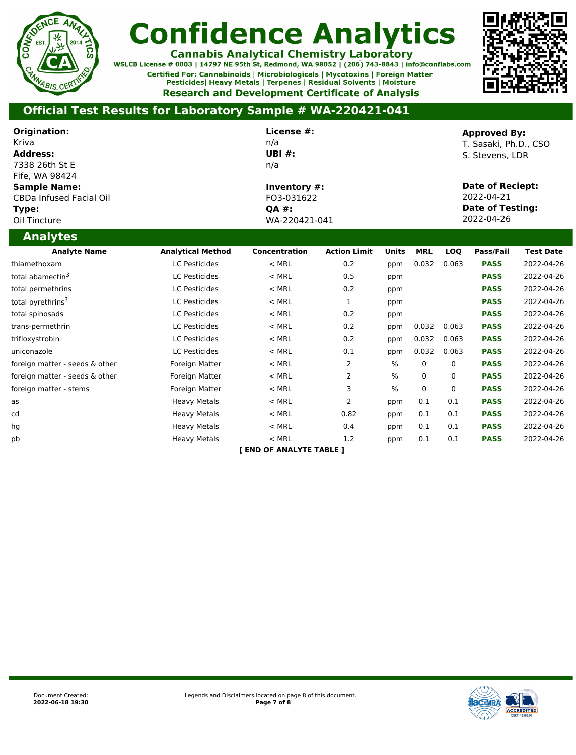

**Cannabis Analytical Chemistry Laboratory**<br>WSLCB License # 0003 | 14797 NE 95th St, Redmond, WA 98052 | (206) 743-8843 | info@conflabs.com Certified For: Cannabinoids | Microbiologicals | Mycotoxins | Foreign Matter Pesticides| Heavy Metals | Terpenes | Residual Solvents | Moisture **Research and Development Certificate of Analysis** 



| Origination:<br>Kriva<br><b>Address:</b><br>7338 26th St E<br>Fife. WA 98424   |                          | License #:<br>n/a<br>UBI $#$ :<br>n/a                       |                     |               |            |          | <b>Approved By:</b><br>T. Sasaki, Ph.D., CSO<br>S. Stevens, LDR                |                  |
|--------------------------------------------------------------------------------|--------------------------|-------------------------------------------------------------|---------------------|---------------|------------|----------|--------------------------------------------------------------------------------|------------------|
| <b>Sample Name:</b><br><b>CBDa Infused Facial Oil</b><br>Type:<br>Oil Tincture |                          | Inventory #:<br>FO3-031622<br><b>OA #:</b><br>WA-220421-041 |                     |               |            |          | <b>Date of Reciept:</b><br>2022-04-21<br><b>Date of Testing:</b><br>2022-04-26 |                  |
| <b>Analytes</b>                                                                |                          |                                                             |                     |               |            |          |                                                                                |                  |
| <b>Analyte Name</b>                                                            | <b>Analytical Method</b> | Concentration                                               | <b>Action Limit</b> | Units         | <b>MRL</b> | LOO      | Pass/Fail                                                                      | <b>Test Date</b> |
| thiamethoxam                                                                   | <b>LC Pesticides</b>     | $<$ MRL                                                     | 0.2                 | ppm           | 0.032      | 0.063    | <b>PASS</b>                                                                    | 2022-04-26       |
| total abamectin <sup>3</sup>                                                   | LC Pesticides            | $<$ MRL                                                     | 0.5                 | ppm           |            |          | <b>PASS</b>                                                                    | 2022-04-26       |
| total permethrins                                                              | LC Pesticides            | $<$ MRL                                                     | 0.2                 | ppm           |            |          | <b>PASS</b>                                                                    | 2022-04-26       |
| total pyrethrins <sup>3</sup>                                                  | <b>LC Pesticides</b>     | $<$ MRL                                                     | 1                   | ppm           |            |          | <b>PASS</b>                                                                    | 2022-04-26       |
| total spinosads                                                                | LC Pesticides            | $<$ MRL                                                     | 0.2                 | ppm           |            |          | <b>PASS</b>                                                                    | 2022-04-26       |
| trans-permethrin                                                               | <b>LC Pesticides</b>     | $<$ MRL                                                     | 0.2                 | ppm           | 0.032      | 0.063    | <b>PASS</b>                                                                    | 2022-04-26       |
| trifloxystrobin                                                                | <b>LC Pesticides</b>     | $<$ MRL                                                     | 0.2                 | ppm           | 0.032      | 0.063    | <b>PASS</b>                                                                    | 2022-04-26       |
| uniconazole                                                                    | LC Pesticides            | $<$ MRL                                                     | 0.1                 | ppm           | 0.032      | 0.063    | <b>PASS</b>                                                                    | 2022-04-26       |
| foreign matter - seeds & other                                                 | Foreign Matter           | $<$ MRL                                                     | $\overline{2}$      | $\frac{0}{0}$ | $\Omega$   | 0        | <b>PASS</b>                                                                    | 2022-04-26       |
| foreign matter - seeds & other                                                 | Foreign Matter           | $<$ MRL                                                     | $\overline{2}$      | %             | 0          | 0        | <b>PASS</b>                                                                    | 2022-04-26       |
| foreign matter - stems                                                         | Foreign Matter           | $<$ MRL                                                     | 3                   | $\frac{0}{0}$ | $\Omega$   | $\Omega$ | <b>PASS</b>                                                                    | 2022-04-26       |
| as                                                                             | <b>Heavy Metals</b>      | $<$ MRL                                                     | $\overline{2}$      | ppm           | 0.1        | 0.1      | <b>PASS</b>                                                                    | 2022-04-26       |
| cd                                                                             | <b>Heavy Metals</b>      | $<$ MRL                                                     | 0.82                | ppm           | 0.1        | 0.1      | <b>PASS</b>                                                                    | 2022-04-26       |
| hg                                                                             | <b>Heavy Metals</b>      | $<$ MRL                                                     | 0.4                 | ppm           | 0.1        | 0.1      | <b>PASS</b>                                                                    | 2022-04-26       |
| pb                                                                             | <b>Heavy Metals</b>      | $<$ MRL                                                     | 1.2                 | ppm           | 0.1        | 0.1      | <b>PASS</b>                                                                    | 2022-04-26       |
|                                                                                |                          | <b>END OF ANALYTE TABLE 1</b>                               |                     |               |            |          |                                                                                |                  |